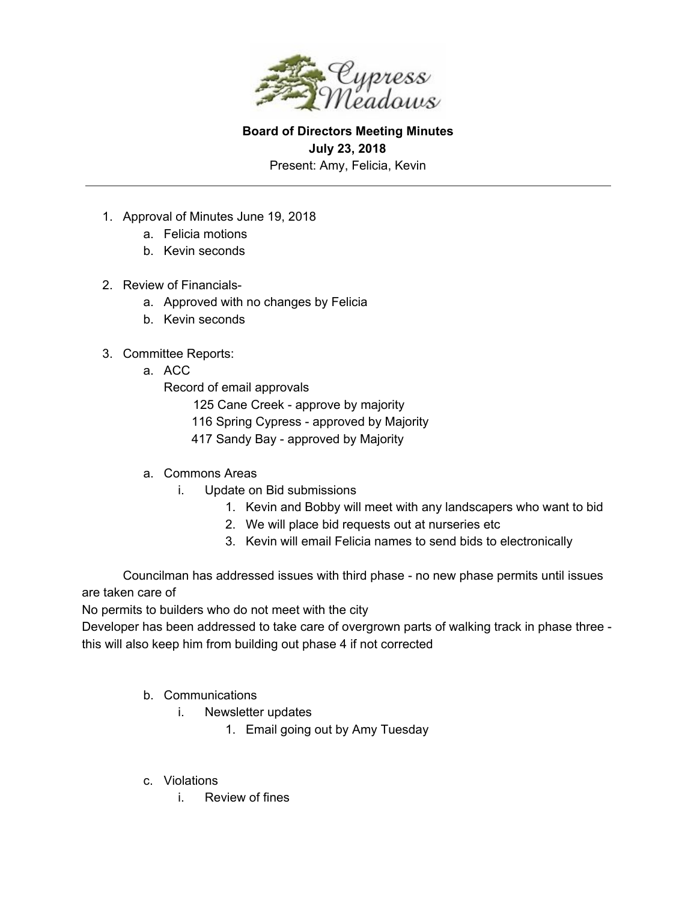

**Board of Directors Meeting Minutes July 23, 2018** Present: Amy, Felicia, Kevin

- 1. Approval of Minutes June 19, 2018
	- a. Felicia motions
	- b. Kevin seconds
- 2. Review of Financials
	- a. Approved with no changes by Felicia
	- b. Kevin seconds
- 3. Committee Reports:
	- a. ACC
		- Record of email approvals
			- 125 Cane Creek approve by majority
			- 116 Spring Cypress approved by Majority
			- 417 Sandy Bay approved by Majority
	- a. Commons Areas
		- i. Update on Bid submissions
			- 1. Kevin and Bobby will meet with any landscapers who want to bid
			- 2. We will place bid requests out at nurseries etc
			- 3. Kevin will email Felicia names to send bids to electronically

Councilman has addressed issues with third phase - no new phase permits until issues are taken care of

No permits to builders who do not meet with the city

Developer has been addressed to take care of overgrown parts of walking track in phase three this will also keep him from building out phase 4 if not corrected

- b. Communications
	- i. Newsletter updates
		- 1. Email going out by Amy Tuesday
- c. Violations
	- i. Review of fines